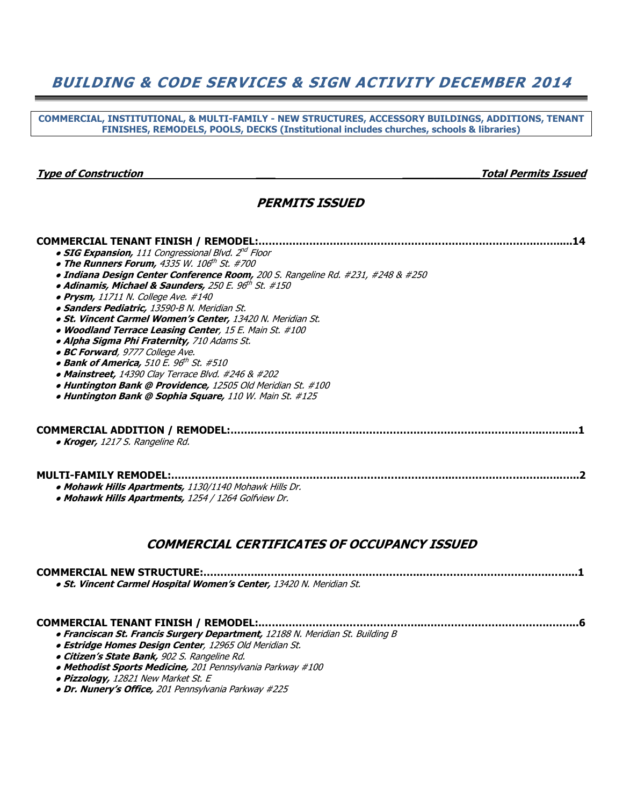## BUILDING & CODE SERVICES & SIGN ACTIVITY DECEMBER 2014

COMMERCIAL, INSTITUTIONAL, & MULTI-FAMILY - NEW STRUCTURES, ACCESSORY BUILDINGS, ADDITIONS, TENANT FINISHES, REMODELS, POOLS, DECKS (Institutional includes churches, schools & libraries)

#### Type of Construction \_\_\_ \_\_\_\_\_\_\_\_\_\_\_\_Total Permits Issued

#### PERMITS ISSUED

### COMMERCIAL TENANT FINISH / REMODEL:……………………………………………………………………….…….....14  $\bullet$  SIG Expansion, 111 Congressional Blvd. 2 $^{\prime\prime\prime}$  Floor  $\bullet$  The Runners Forum, 4335 W. 106th St. #700 ● Indiana Design Center Conference Room, 200 S. Rangeline Rd. #231, #248 & #250  $\bullet$  Adinamis, Michael & Saunders, 250 E. 96 $^{th}$  St. #150  $\bullet$  Prysm, 11711 N. College Ave. #140 • Sanders Pediatric, 13590-B N. Meridian St. ● St. Vincent Carmel Women's Center, 13420 N. Meridian St. • Woodland Terrace Leasing Center, 15 E. Main St. #100 • Alpha Sigma Phi Fraternity, 710 Adams St. • BC Forward, 9777 College Ave.  $\bullet$  Bank of America, 510 E. 96 $^{\rm th}$  St. #510  $\bullet$  Mainstreet, 14390 Clay Terrace Blvd. #246 & #202 • Huntington Bank @ Providence, 12505 Old Meridian St. #100 • Huntington Bank @ Sophia Square, 110 W. Main St. #125 COMMERCIAL ADDITION / REMODEL:…….………………………………………………………………………….…….....1 • Kroger, 1217 S. Rangeline Rd. MULTI-FAMILY REMODEL:…………………….……..…………………………………………..……………………….…..…..2 • Mohawk Hills Apartments, 1130/1140 Mohawk Hills Dr. • Mohawk Hills Apartments, 1254 / 1264 Golfview Dr.

### COMMERCIAL CERTIFICATES OF OCCUPANCY ISSUED

| · St. Vincent Carmel Hospital Women's Center, 13420 N. Meridian St. |
|---------------------------------------------------------------------|
|                                                                     |

| . Exampleson Ct. Example Currence Department, 12100 N. Maridian Ct. Puilding D. |
|---------------------------------------------------------------------------------|

- Franciscan St. Francis Surgery Department, 12188 N. Meridian St. Building B
- Estridge Homes Design Center, 12965 Old Meridian St. **• Citizen's State Bank, 902 S. Rangeline Rd.**
- 
- Methodist Sports Medicine, 201 Pennsylvania Parkway #100
- Pizzology, 12821 New Market St. E
- Dr. Nunery's Office, 201 Pennsylvania Parkway #225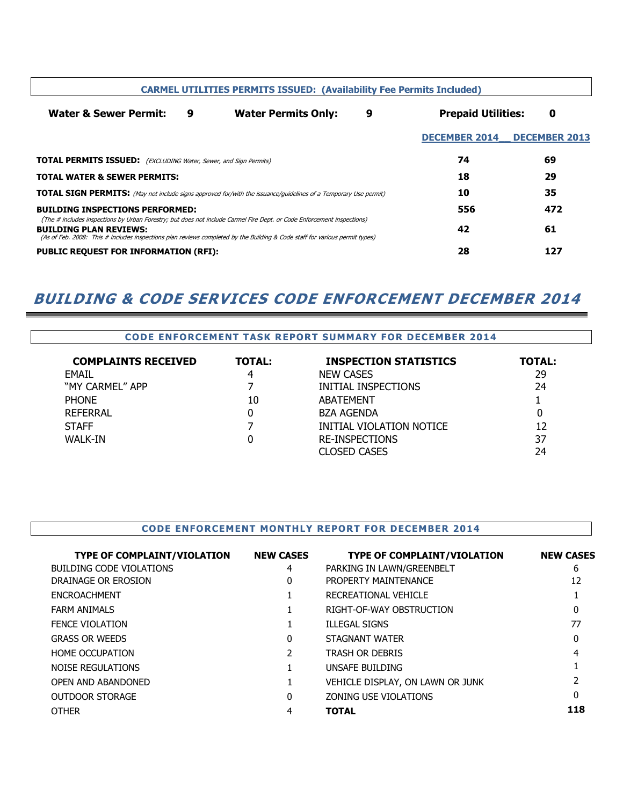|                                                                                                                                                              |   | <b>CARMEL UTILITIES PERMITS ISSUED: (Availability Fee Permits Included)</b>                                            |   |                                |                      |
|--------------------------------------------------------------------------------------------------------------------------------------------------------------|---|------------------------------------------------------------------------------------------------------------------------|---|--------------------------------|----------------------|
| <b>Water &amp; Sewer Permit:</b>                                                                                                                             | 9 | <b>Water Permits Only:</b>                                                                                             | 9 | <b>Prepaid Utilities:</b><br>0 |                      |
|                                                                                                                                                              |   |                                                                                                                        |   | <b>DECEMBER 2014</b>           | <b>DECEMBER 2013</b> |
| <b>TOTAL PERMITS ISSUED:</b> (EXCLUDING Water, Sewer, and Sign Permits)                                                                                      |   |                                                                                                                        |   | 74                             | 69                   |
| <b>TOTAL WATER &amp; SEWER PERMITS:</b>                                                                                                                      |   |                                                                                                                        |   | 18                             | 29                   |
| <b>TOTAL SIGN PERMITS:</b> (May not include signs approved for/with the issuance/guidelines of a Temporary Use permit)                                       |   |                                                                                                                        |   | 10                             | 35                   |
| <b>BUILDING INSPECTIONS PERFORMED:</b>                                                                                                                       |   |                                                                                                                        |   | 556                            | 472                  |
| <b>BUILDING PLAN REVIEWS:</b><br>(As of Feb. 2008: This # includes inspections plan reviews completed by the Building & Code staff for various permit types) |   | (The # includes inspections by Urban Forestry; but does not include Carmel Fire Dept. or Code Enforcement inspections) |   | 42                             | 61                   |
| <b>PUBLIC REQUEST FOR INFORMATION (RFI):</b>                                                                                                                 |   |                                                                                                                        |   | 28                             | 127                  |

# BUILDING & CODE SERVICES CODE ENFORCEMENT DECEMBER 2014

#### CODE ENFORCEMENT TASK REPORT SUMMARY FOR DECEMBER 2014

| <b>COMPLAINTS RECEIVED</b> | <b>TOTAL:</b> | <b>INSPECTION STATISTICS</b> | <b>TOTAL:</b> |
|----------------------------|---------------|------------------------------|---------------|
| <b>EMAIL</b>               | 4             | <b>NEW CASES</b>             | 29            |
| "MY CARMEL" APP            |               | INITIAL INSPECTIONS          | 24            |
| <b>PHONE</b>               | 10            | ABATEMENT                    |               |
| REFERRAL                   | 0             | <b>BZA AGENDA</b>            |               |
| <b>STAFF</b>               |               | INITIAL VIOLATION NOTICE     | 12            |
| WALK-IN                    | 0             | <b>RE-INSPECTIONS</b>        | 37            |
|                            |               | <b>CLOSED CASES</b>          | 24            |

#### CODE ENFORCEMENT MONTHLY REPORT FOR DECEMBER 2014

| <b>TYPE OF COMPLAINT/VIOLATION</b> | <b>NEW CASES</b> | <b>TYPE OF COMPLAINT/VIOLATION</b> | <b>NEW CASES</b> |
|------------------------------------|------------------|------------------------------------|------------------|
| BUILDING CODE VIOLATIONS           | 4                | PARKING IN LAWN/GREENBELT          | 6                |
| DRAINAGE OR EROSION                | 0                | PROPERTY MAINTENANCE               | 12               |
| <b>ENCROACHMENT</b>                |                  | RECREATIONAL VEHICLE               |                  |
| <b>FARM ANIMALS</b>                |                  | RIGHT-OF-WAY OBSTRUCTION           | 0                |
| <b>FENCE VIOLATION</b>             |                  | <b>ILLEGAL SIGNS</b>               | 77               |
| <b>GRASS OR WEEDS</b>              | 0                | <b>STAGNANT WATER</b>              | 0                |
| <b>HOME OCCUPATION</b>             |                  | <b>TRASH OR DEBRIS</b>             | 4                |
| NOISE REGULATIONS                  |                  | UNSAFE BUILDING                    |                  |
| OPEN AND ABANDONED                 |                  | VEHICLE DISPLAY, ON LAWN OR JUNK   |                  |
| <b>OUTDOOR STORAGE</b>             | $\Omega$         | ZONING USE VIOLATIONS              | 0                |
| <b>OTHER</b>                       |                  | <b>TOTAL</b>                       | 118              |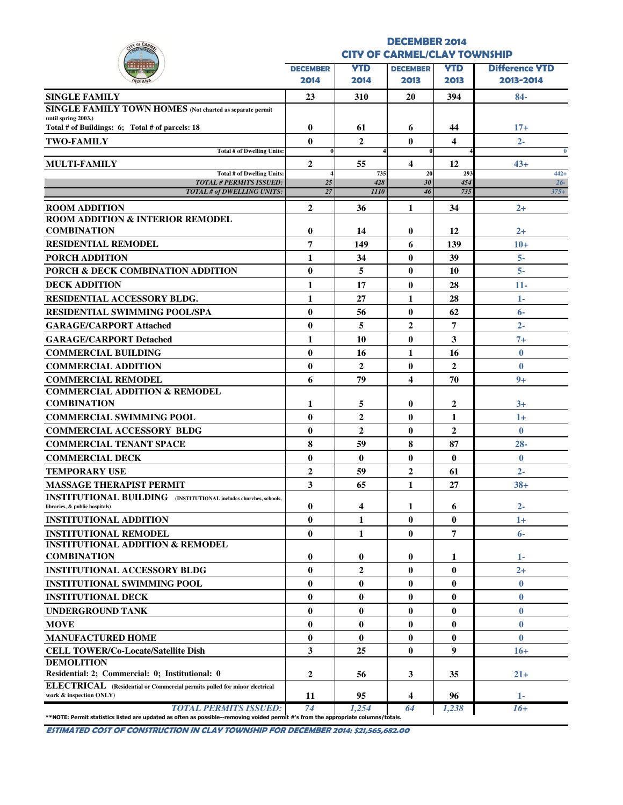| Y OF CAR                                                                                                                                                           |                                     |                    | <b>DECEMBER 2014</b>     |                |                       |
|--------------------------------------------------------------------------------------------------------------------------------------------------------------------|-------------------------------------|--------------------|--------------------------|----------------|-----------------------|
|                                                                                                                                                                    | <b>CITY OF CARMEL/CLAY TOWNSHIP</b> |                    |                          |                |                       |
|                                                                                                                                                                    | <b>DECEMBER</b>                     | <b>YTD</b>         | <b>DECEMBER</b>          | <b>YTD</b>     | <b>Difference YTD</b> |
|                                                                                                                                                                    | 2014                                | 2014               | 2013                     | 2013           | 2013-2014             |
| <b>SINGLE FAMILY</b>                                                                                                                                               | 23                                  | 310                | 20                       | 394            | 84-                   |
| SINGLE FAMILY TOWN HOMES (Not charted as separate permit                                                                                                           |                                     |                    |                          |                |                       |
| until spring 2003.)                                                                                                                                                |                                     |                    |                          |                |                       |
| Total # of Buildings: 6; Total # of parcels: 18                                                                                                                    | $\bf{0}$                            | 61                 | 6                        | 44             | $17+$                 |
| <b>TWO-FAMILY</b><br>Total # of Dwelling Units:                                                                                                                    | $\mathbf{0}$<br>$\bf{0}$            | $\overline{2}$     | $\mathbf{0}$<br>$\bf{0}$ | 4              | $2 -$<br>$\mathbf{0}$ |
| <b>MULTI-FAMILY</b>                                                                                                                                                | $\mathbf{2}$                        | 55                 | $\overline{\mathbf{4}}$  | 12             | $43+$                 |
| <b>Total # of Dwelling Units:</b>                                                                                                                                  |                                     | 735                | 20                       | 293            | $442+$                |
| <b>TOTAL # PERMITS ISSUED:</b><br><b>TOTAL # of DWELLING UNITS:</b>                                                                                                | 25<br>27                            | 428<br><b>1110</b> | 30<br>46                 | 454<br>735     | $26 -$<br>$375+$      |
|                                                                                                                                                                    |                                     |                    |                          |                |                       |
| <b>ROOM ADDITION</b><br><b>ROOM ADDITION &amp; INTERIOR REMODEL</b>                                                                                                | $\overline{2}$                      | 36                 | 1                        | 34             | $2+$                  |
| <b>COMBINATION</b>                                                                                                                                                 | $\bf{0}$                            | 14                 | $\bf{0}$                 | 12             | $2+$                  |
| <b>RESIDENTIAL REMODEL</b>                                                                                                                                         | $\overline{7}$                      | 149                | 6                        | 139            | $10+$                 |
| PORCH ADDITION                                                                                                                                                     | $\mathbf{1}$                        | 34                 | $\bf{0}$                 | 39             | $5-$                  |
| <b>PORCH &amp; DECK COMBINATION ADDITION</b>                                                                                                                       | $\bf{0}$                            | 5                  | $\mathbf{0}$             | 10             | $5-$                  |
|                                                                                                                                                                    |                                     |                    |                          |                |                       |
| <b>DECK ADDITION</b>                                                                                                                                               | 1                                   | 17                 | $\bf{0}$                 | 28             | $11-$                 |
| <b>RESIDENTIAL ACCESSORY BLDG.</b>                                                                                                                                 | 1                                   | 27                 | 1                        | 28             | $1-$                  |
| <b>RESIDENTIAL SWIMMING POOL/SPA</b>                                                                                                                               | $\bf{0}$                            | 56                 | $\bf{0}$                 | 62             | $6-$                  |
| <b>GARAGE/CARPORT Attached</b>                                                                                                                                     | $\mathbf{0}$                        | 5                  | $\overline{2}$           | $\overline{7}$ | $2 -$                 |
| <b>GARAGE/CARPORT Detached</b>                                                                                                                                     | 1                                   | 10                 | $\bf{0}$                 | 3              | $7+$                  |
| <b>COMMERCIAL BUILDING</b>                                                                                                                                         | $\bf{0}$                            | 16                 | $\mathbf{1}$             | 16             | $\bf{0}$              |
| <b>COMMERCIAL ADDITION</b>                                                                                                                                         | $\bf{0}$                            | $\overline{2}$     | $\bf{0}$                 | $\overline{2}$ | $\bf{0}$              |
| <b>COMMERCIAL REMODEL</b>                                                                                                                                          | 6                                   | 79                 | $\overline{\mathbf{4}}$  | 70             | $9+$                  |
| <b>COMMERCIAL ADDITION &amp; REMODEL</b>                                                                                                                           |                                     |                    |                          |                |                       |
| <b>COMBINATION</b>                                                                                                                                                 | 1                                   | 5                  | $\bf{0}$                 | 2              | $3+$                  |
| <b>COMMERCIAL SWIMMING POOL</b>                                                                                                                                    | $\bf{0}$                            | $\overline{2}$     | $\mathbf{0}$             | 1              | $1+$                  |
| <b>COMMERCIAL ACCESSORY BLDG</b>                                                                                                                                   | $\bf{0}$                            | $\overline{2}$     | $\bf{0}$                 | $\mathbf{2}$   | $\bf{0}$              |
| <b>COMMERCIAL TENANT SPACE</b>                                                                                                                                     | 8                                   | 59                 | 8                        | 87             | $28 -$                |
| <b>COMMERCIAL DECK</b>                                                                                                                                             | $\bf{0}$                            | $\bf{0}$           | $\bf{0}$                 | $\bf{0}$       | $\bf{0}$              |
| <b>TEMPORARY USE</b>                                                                                                                                               | $\overline{2}$                      | 59                 | $\overline{2}$           | 61             | $2 -$                 |
| <b>MASSAGE THERAPIST PERMIT</b>                                                                                                                                    | 3                                   | 65                 | $\mathbf{1}$             | 27             | $38+$                 |
| <b>INSTITUTIONAL BUILDING</b> (INSTITUTIONAL includes churches, schools,<br>libraries, & public hospitals)                                                         | $\bf{0}$                            | 4                  |                          |                | $2 -$                 |
| <b>INSTITUTIONAL ADDITION</b>                                                                                                                                      | $\bf{0}$                            | 1                  | 1<br>$\bf{0}$            | 6<br>$\bf{0}$  | $1+$                  |
|                                                                                                                                                                    |                                     |                    |                          | 7              |                       |
| <b>INSTITUTIONAL REMODEL</b><br><b>INSTITUTIONAL ADDITION &amp; REMODEL</b>                                                                                        | $\bf{0}$                            | 1                  | $\bf{0}$                 |                | $6-$                  |
| <b>COMBINATION</b>                                                                                                                                                 | $\bf{0}$                            | $\bf{0}$           | $\bf{0}$                 | 1              | 1-                    |
| <b>INSTITUTIONAL ACCESSORY BLDG</b>                                                                                                                                | $\mathbf{0}$                        | $\overline{2}$     | $\mathbf{0}$             | $\mathbf{0}$   | $2+$                  |
| <b>INSTITUTIONAL SWIMMING POOL</b>                                                                                                                                 | $\bf{0}$                            | $\bf{0}$           | $\bf{0}$                 | $\bf{0}$       | $\bf{0}$              |
| <b>INSTITUTIONAL DECK</b>                                                                                                                                          | $\bf{0}$                            | $\mathbf{0}$       | $\bf{0}$                 | $\bf{0}$       | $\bf{0}$              |
| <b>UNDERGROUND TANK</b>                                                                                                                                            | $\bf{0}$                            | $\bf{0}$           | $\bf{0}$                 | $\bf{0}$       | $\bf{0}$              |
| <b>MOVE</b>                                                                                                                                                        | $\bf{0}$                            | $\mathbf{0}$       | $\bf{0}$                 | $\bf{0}$       | $\bf{0}$              |
|                                                                                                                                                                    | $\bf{0}$                            | $\bf{0}$           | $\bf{0}$                 | $\bf{0}$       | $\bf{0}$              |
| <b>MANUFACTURED HOME</b>                                                                                                                                           | 3                                   | 25                 |                          | 9              |                       |
| <b>CELL TOWER/Co-Locate/Satellite Dish</b><br><b>DEMOLITION</b>                                                                                                    |                                     |                    | $\bf{0}$                 |                | $16+$                 |
| Residential: 2; Commercial: 0; Institutional: 0                                                                                                                    | $\overline{2}$                      | 56                 | 3                        | 35             | $21+$                 |
| ELECTRICAL (Residential or Commercial permits pulled for minor electrical                                                                                          |                                     |                    |                          |                |                       |
| work & inspection ONLY)                                                                                                                                            | 11                                  | 95                 | 4                        | 96             | $1 -$                 |
| <b>TOTAL PERMITS ISSUED:</b><br>**NOTE: Permit statistics listed are updated as often as possible--removing voided permit #'s from the appropriate columns/totals. | 74                                  | 1.254              | 64                       | 1,238          | $16+$                 |

ESTIMATED COST OF CONSTRUCTION IN CLAY TOWNSHIP FOR DECEMBER 2014: \$21,565,682.00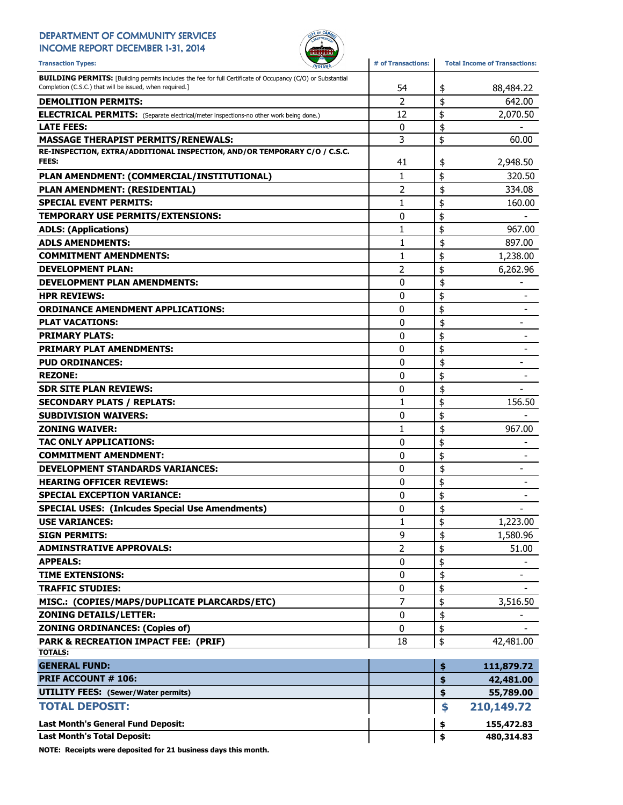## DEPARTMENT OF COMMUNITY SERVICES

INCOME REPORT DECEMBER 1-31, 2014



| <b>Transaction Types:</b>                                                                                          | # of Transactions:<br><b><i>INDIANA</i></b> | <b>Total Income of Transactions:</b> |
|--------------------------------------------------------------------------------------------------------------------|---------------------------------------------|--------------------------------------|
| <b>BUILDING PERMITS:</b> [Building permits includes the fee for full Certificate of Occupancy (C/O) or Substantial |                                             |                                      |
| Completion (C.S.C.) that will be issued, when required.]                                                           | 54                                          | \$<br>88,484.22                      |
| <b>DEMOLITION PERMITS:</b>                                                                                         | 2                                           | \$<br>642.00                         |
| <b>ELECTRICAL PERMITS:</b> (Separate electrical/meter inspections-no other work being done.)                       | 12                                          | \$<br>2,070.50                       |
| <b>LATE FEES:</b>                                                                                                  | $\mathbf 0$                                 | \$                                   |
| <b>MASSAGE THERAPIST PERMITS/RENEWALS:</b>                                                                         | 3                                           | \$<br>60.00                          |
| RE-INSPECTION, EXTRA/ADDITIONAL INSPECTION, AND/OR TEMPORARY C/O / C.S.C.<br>FEES:                                 | 41                                          | \$<br>2,948.50                       |
| PLAN AMENDMENT: (COMMERCIAL/INSTITUTIONAL)                                                                         | 1                                           | \$<br>320.50                         |
| PLAN AMENDMENT: (RESIDENTIAL)                                                                                      | 2                                           | \$<br>334.08                         |
| <b>SPECIAL EVENT PERMITS:</b>                                                                                      | 1                                           | \$<br>160.00                         |
| TEMPORARY USE PERMITS/EXTENSIONS:                                                                                  | 0                                           | \$                                   |
| <b>ADLS: (Applications)</b>                                                                                        | 1                                           | \$<br>967.00                         |
| <b>ADLS AMENDMENTS:</b>                                                                                            | 1                                           | \$<br>897.00                         |
| <b>COMMITMENT AMENDMENTS:</b>                                                                                      | 1                                           | \$<br>1,238.00                       |
| <b>DEVELOPMENT PLAN:</b>                                                                                           | 2                                           | \$<br>6,262.96                       |
| <b>DEVELOPMENT PLAN AMENDMENTS:</b>                                                                                | 0                                           | \$<br>$\overline{\phantom{a}}$       |
| <b>HPR REVIEWS:</b>                                                                                                | 0                                           | \$                                   |
| <b>ORDINANCE AMENDMENT APPLICATIONS:</b>                                                                           | 0                                           | \$                                   |
| <b>PLAT VACATIONS:</b>                                                                                             | 0                                           | \$                                   |
| <b>PRIMARY PLATS:</b>                                                                                              | 0                                           | \$<br>-                              |
| <b>PRIMARY PLAT AMENDMENTS:</b>                                                                                    | 0                                           | \$<br>$\overline{\phantom{a}}$       |
| <b>PUD ORDINANCES:</b>                                                                                             | 0                                           | \$                                   |
| <b>REZONE:</b>                                                                                                     | 0                                           | \$                                   |
| <b>SDR SITE PLAN REVIEWS:</b>                                                                                      | 0                                           | \$                                   |
| <b>SECONDARY PLATS / REPLATS:</b>                                                                                  | 1                                           | \$<br>156.50                         |
| <b>SUBDIVISION WAIVERS:</b>                                                                                        | 0                                           | \$                                   |
| <b>ZONING WAIVER:</b>                                                                                              | 1                                           | \$<br>967.00                         |
| <b>TAC ONLY APPLICATIONS:</b>                                                                                      | 0                                           | \$                                   |
| <b>COMMITMENT AMENDMENT:</b>                                                                                       | 0                                           | \$                                   |
| <b>DEVELOPMENT STANDARDS VARIANCES:</b>                                                                            | 0                                           | \$<br>$\overline{\phantom{a}}$       |
| <b>HEARING OFFICER REVIEWS:</b>                                                                                    | 0                                           | \$<br>-                              |
| <b>SPECIAL EXCEPTION VARIANCE:</b>                                                                                 | 0                                           | \$                                   |
| <b>SPECIAL USES: (Inlcudes Special Use Amendments)</b>                                                             | 0                                           | \$                                   |
| <b>USE VARIANCES:</b>                                                                                              | 1                                           | \$<br>1,223.00                       |
| <b>SIGN PERMITS:</b>                                                                                               | 9                                           | \$<br>1,580.96                       |
| <b>ADMINSTRATIVE APPROVALS:</b>                                                                                    | 2                                           | \$<br>51.00                          |
| <b>APPEALS:</b>                                                                                                    | 0                                           | \$<br>$\blacksquare$                 |
| <b>TIME EXTENSIONS:</b>                                                                                            | 0                                           | \$<br>$\overline{\phantom{a}}$       |
| <b>TRAFFIC STUDIES:</b>                                                                                            | 0                                           | \$                                   |
| MISC.: (COPIES/MAPS/DUPLICATE PLARCARDS/ETC)                                                                       | 7                                           | \$<br>3,516.50                       |
| <b>ZONING DETAILS/LETTER:</b>                                                                                      | 0                                           | \$                                   |
| <b>ZONING ORDINANCES: (Copies of)</b>                                                                              | 0                                           | \$                                   |
| <b>PARK &amp; RECREATION IMPACT FEE: (PRIF)</b>                                                                    | 18                                          | \$<br>42,481.00                      |
| <b>TOTALS:</b>                                                                                                     |                                             |                                      |
| <b>GENERAL FUND:</b>                                                                                               |                                             | \$<br>111,879.72                     |
| PRIF ACCOUNT # 106:                                                                                                |                                             | \$<br>42,481.00                      |
| <b>UTILITY FEES: (Sewer/Water permits)</b>                                                                         |                                             | \$<br>55,789.00                      |
| <b>TOTAL DEPOSIT:</b>                                                                                              |                                             | \$<br>210,149.72                     |
| Last Month's General Fund Deposit:                                                                                 |                                             | \$<br>155,472.83                     |
| <b>Last Month's Total Deposit:</b>                                                                                 |                                             | \$<br>480,314.83                     |
|                                                                                                                    |                                             |                                      |

NOTE: Receipts were deposited for 21 business days this month.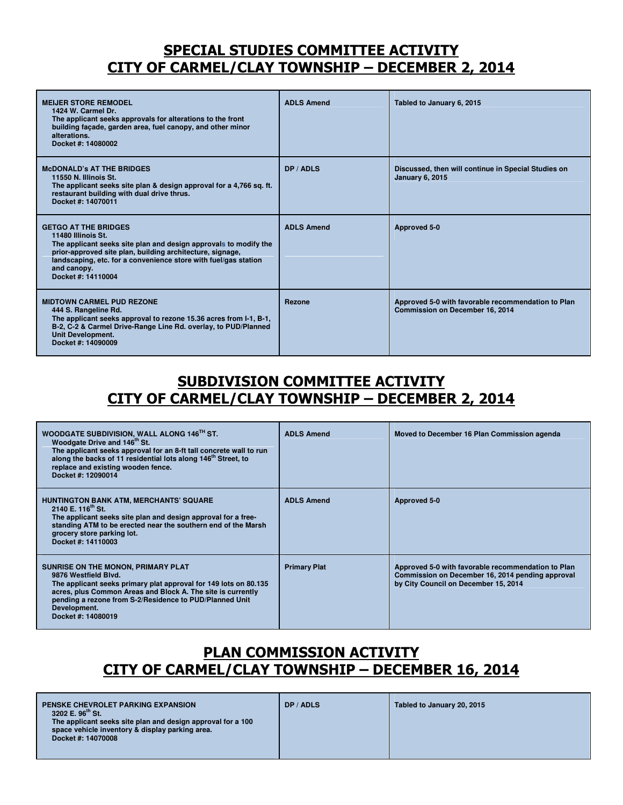## SPECIAL STUDIES COMMITTEE ACTIVITY CITY OF CARMEL/CLAY TOWNSHIP – DECEMBER 2, 2014

| <b>MEIJER STORE REMODEL</b><br>1424 W. Carmel Dr.<br>The applicant seeks approvals for alterations to the front<br>building façade, garden area, fuel canopy, and other minor<br>alterations.<br>Docket #: 14080002                                                                        | <b>ADLS Amend</b> | Tabled to January 6, 2015                                                             |
|--------------------------------------------------------------------------------------------------------------------------------------------------------------------------------------------------------------------------------------------------------------------------------------------|-------------------|---------------------------------------------------------------------------------------|
| <b>McDONALD's AT THE BRIDGES</b><br>11550 N. Illinois St.<br>The applicant seeks site plan & design approval for a 4,766 sq. ft.<br>restaurant building with dual drive thrus.<br>Docket #: 14070011                                                                                       | DP / ADLS         | Discussed, then will continue in Special Studies on<br><b>January 6, 2015</b>         |
| <b>GETGO AT THE BRIDGES</b><br>11480 Illinois St.<br>The applicant seeks site plan and design approvals to modify the<br>prior-approved site plan, building architecture, signage,<br>landscaping, etc. for a convenience store with fuel/gas station<br>and canopy.<br>Docket #: 14110004 | <b>ADLS Amend</b> | Approved 5-0                                                                          |
| <b>MIDTOWN CARMEL PUD REZONE</b><br>444 S. Rangeline Rd.<br>The applicant seeks approval to rezone 15.36 acres from I-1, B-1,<br>B-2, C-2 & Carmel Drive-Range Line Rd. overlay, to PUD/Planned<br><b>Unit Development.</b><br>Docket #: 14090009                                          | Rezone            | Approved 5-0 with favorable recommendation to Plan<br>Commission on December 16, 2014 |

## SUBDIVISION COMMITTEE ACTIVITY CITY OF CARMEL/CLAY TOWNSHIP – DECEMBER 2, 2014

| WOODGATE SUBDIVISION, WALL ALONG 146TH ST.<br>Woodgate Drive and 146 <sup>th</sup> St.<br>The applicant seeks approval for an 8-ft tall concrete wall to run<br>along the backs of 11 residential lots along 146 <sup>th</sup> Street, to<br>replace and existing wooden fence.<br>Docket #: 12090014 | <b>ADLS Amend</b>   | Moved to December 16 Plan Commission agenda                                                                                                    |
|-------------------------------------------------------------------------------------------------------------------------------------------------------------------------------------------------------------------------------------------------------------------------------------------------------|---------------------|------------------------------------------------------------------------------------------------------------------------------------------------|
| <b>HUNTINGTON BANK ATM, MERCHANTS' SQUARE</b><br>2140 E. 116 <sup>th</sup> St.<br>The applicant seeks site plan and design approval for a free-<br>standing ATM to be erected near the southern end of the Marsh<br>grocery store parking lot.<br>Docket #: 14110003                                  | <b>ADLS Amend</b>   | Approved 5-0                                                                                                                                   |
| SUNRISE ON THE MONON, PRIMARY PLAT<br>9876 Westfield Blvd.<br>The applicant seeks primary plat approval for 149 lots on 80.135<br>acres, plus Common Areas and Block A. The site is currently<br>pending a rezone from S-2/Residence to PUD/Planned Unit<br>Development.<br>Docket #: 14080019        | <b>Primary Plat</b> | Approved 5-0 with favorable recommendation to Plan<br>Commission on December 16, 2014 pending approval<br>by City Council on December 15, 2014 |

## PLAN COMMISSION ACTIVITY CITY OF CARMEL/CLAY TOWNSHIP – DECEMBER 16, 2014

| <b>PENSKE CHEVROLET PARKING EXPANSION</b><br>3202 E. 96 <sup>th</sup> St.<br>The applicant seeks site plan and design approval for a 100<br>space vehicle inventory & display parking area.<br>Docket #: 14070008 | DP / ADLS | Tabled to January 20, 2015 |
|-------------------------------------------------------------------------------------------------------------------------------------------------------------------------------------------------------------------|-----------|----------------------------|
|                                                                                                                                                                                                                   |           |                            |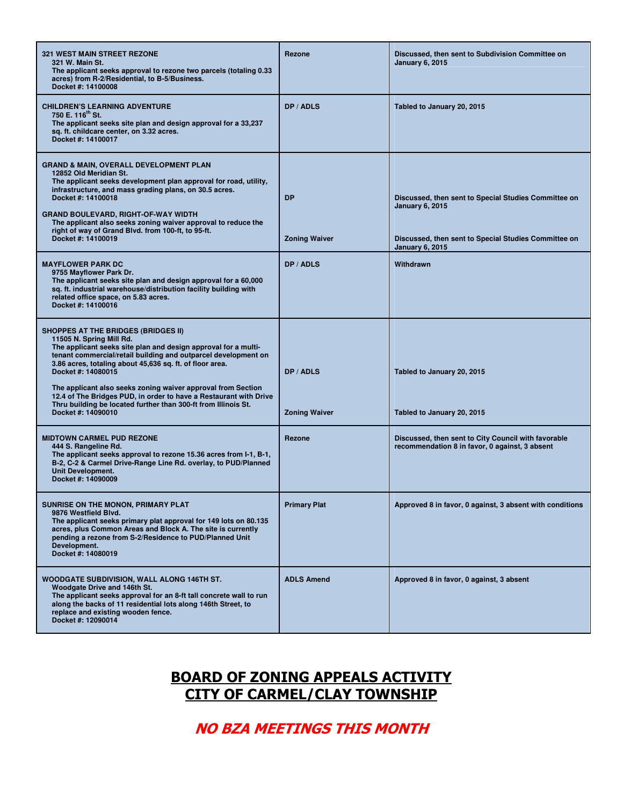| <b>321 WEST MAIN STREET REZONE</b><br>321 W. Main St.<br>The applicant seeks approval to rezone two parcels (totaling 0.33<br>acres) from R-2/Residential, to B-5/Business.<br>Docket #: 14100008                                                                                                                                                                                                                                                                                                                         | <b>Rezone</b>                     | Discussed, then sent to Subdivision Committee on<br><b>January 6, 2015</b>                                                                                       |
|---------------------------------------------------------------------------------------------------------------------------------------------------------------------------------------------------------------------------------------------------------------------------------------------------------------------------------------------------------------------------------------------------------------------------------------------------------------------------------------------------------------------------|-----------------------------------|------------------------------------------------------------------------------------------------------------------------------------------------------------------|
| <b>CHILDREN'S LEARNING ADVENTURE</b><br>750 E. 116 <sup>th</sup> St.<br>The applicant seeks site plan and design approval for a 33,237<br>sq. ft. childcare center, on 3.32 acres.<br>Docket #: 14100017                                                                                                                                                                                                                                                                                                                  | DP / ADLS                         | Tabled to January 20, 2015                                                                                                                                       |
| <b>GRAND &amp; MAIN, OVERALL DEVELOPMENT PLAN</b><br>12852 Old Meridian St.<br>The applicant seeks development plan approval for road, utility,<br>infrastructure, and mass grading plans, on 30.5 acres.<br>Docket #: 14100018<br><b>GRAND BOULEVARD, RIGHT-OF-WAY WIDTH</b><br>The applicant also seeks zoning waiver approval to reduce the<br>right of way of Grand Blvd. from 100-ft, to 95-ft.<br>Docket #: 14100019                                                                                                | <b>DP</b><br><b>Zoning Waiver</b> | Discussed, then sent to Special Studies Committee on<br><b>January 6, 2015</b><br>Discussed, then sent to Special Studies Committee on<br><b>January 6, 2015</b> |
| <b>MAYFLOWER PARK DC</b><br>9755 Mayflower Park Dr.<br>The applicant seeks site plan and design approval for a 60,000<br>sq. ft. industrial warehouse/distribution facility building with<br>related office space, on 5.83 acres.<br>Docket #: 14100016                                                                                                                                                                                                                                                                   | DP / ADLS                         | Withdrawn                                                                                                                                                        |
| <b>SHOPPES AT THE BRIDGES (BRIDGES II)</b><br>11505 N. Spring Mill Rd.<br>The applicant seeks site plan and design approval for a multi-<br>tenant commercial/retail building and outparcel development on<br>3.86 acres, totaling about 45,636 sq. ft. of floor area.<br>Docket #: 14080015<br>The applicant also seeks zoning waiver approval from Section<br>12.4 of The Bridges PUD, in order to have a Restaurant with Drive<br>Thru building be located further than 300-ft from Illinois St.<br>Docket #: 14090010 | DP / ADLS<br><b>Zoning Waiver</b> | Tabled to January 20, 2015<br>Tabled to January 20, 2015                                                                                                         |
| <b>MIDTOWN CARMEL PUD REZONE</b><br>444 S. Rangeline Rd.<br>The applicant seeks approval to rezone 15.36 acres from I-1, B-1,<br>B-2, C-2 & Carmel Drive-Range Line Rd. overlay, to PUD/Planned<br><b>Unit Development.</b><br>Docket #: 14090009                                                                                                                                                                                                                                                                         | Rezone                            | Discussed, then sent to City Council with favorable<br>recommendation 8 in favor, 0 against, 3 absent                                                            |
| SUNRISE ON THE MONON, PRIMARY PLAT<br>9876 Westfield Blvd.<br>The applicant seeks primary plat approval for 149 lots on 80.135<br>acres, plus Common Areas and Block A. The site is currently<br>pending a rezone from S-2/Residence to PUD/Planned Unit<br>Development.<br>Docket #: 14080019                                                                                                                                                                                                                            | <b>Primary Plat</b>               | Approved 8 in favor, 0 against, 3 absent with conditions                                                                                                         |
| WOODGATE SUBDIVISION, WALL ALONG 146TH ST.<br>Woodgate Drive and 146th St.<br>The applicant seeks approval for an 8-ft tall concrete wall to run<br>along the backs of 11 residential lots along 146th Street, to<br>replace and existing wooden fence.<br>Docket #: 12090014                                                                                                                                                                                                                                             | <b>ADLS Amend</b>                 | Approved 8 in favor, 0 against, 3 absent                                                                                                                         |

## BOARD OF ZONING APPEALS ACTIVITY CITY OF CARMEL/CLAY TOWNSHIP

NO BZA MEETINGS THIS MONTH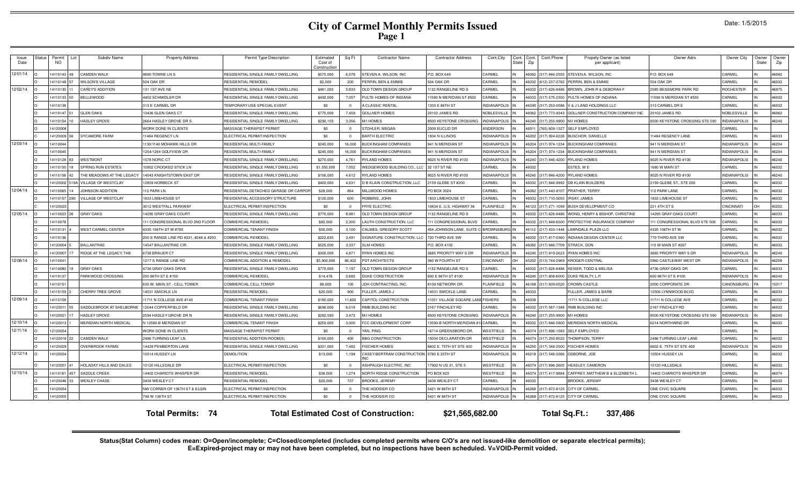# **City of Carmel Monthly Permits Issued Page 1**

|  | Date: 1/5/2015 |  |
|--|----------------|--|
|--|----------------|--|

| Issue<br>Date                                                                                                           | Status | Permit<br>Lot<br>NO. | Subdiv Name                      | <b>Property Address</b>               | Permit Type Description               | Estimated<br>Cost of<br>Construction | Sq Ft    | <b>Contractor Name</b>           | <b>Contractor Address</b> | Cont.City            | Cont.<br>State | Cont.<br>Zip | Cont.Phone           | Propety Owner (as listed<br>per applicant) | Owner Adrs                     | Owner City         | Owner<br>State | Owner<br>Zip |
|-------------------------------------------------------------------------------------------------------------------------|--------|----------------------|----------------------------------|---------------------------------------|---------------------------------------|--------------------------------------|----------|----------------------------------|---------------------------|----------------------|----------------|--------------|----------------------|--------------------------------------------|--------------------------------|--------------------|----------------|--------------|
| 12/01/14                                                                                                                |        | 4110143 49           | CAMDEN WALK                      | 9890 TOWNE LN S                       | RESIDENTIAL SINGLE FAMILY DWELLING    | \$575,000                            | 6.578    | STEVEN A. WILSON, INC            | P.O. BOX 649              | CARMEL               |                | 6082         | 317) 846-255         | TEVEN A. WILSON, INC.                      | P.O. BOX 649                   | CARMEL             |                | 46082        |
|                                                                                                                         |        | 4110148 57           | <b>VILSON'S VILLAGE</b>          | <b>504 OAK DR</b>                     | RESIDENTIAL REMODEL                   | \$2,000                              | 200      | <b>PERRIN, BEN &amp; EMMIE</b>   | <b>504 OAK DR</b>         | CARMEL               |                |              | (612) 237-2782       | ERRIN, BEN & EMMIE                         | <b>504 OAK DR</b>              | CARMEL             |                | 46032        |
| 12/02/14                                                                                                                |        | 4110130 11           | <b>AREY'S ADDITION</b>           | 131 1ST AVE NE                        | RESIDENTIAL SINGLE FAMILY DWELLING    | \$481,000                            | 5,833    | OLD TOWN DESIGN GROUP            | 132 RANGELINE RD S        | CARMEL               |                |              | (317) 626-848        | ROWN, JOHN R & DEBORAH F                   | 2585 BESSMORE PARK RD          | ROCHESTER          |                | 46975        |
|                                                                                                                         |        | 4110133 50           | <b>BELLEWOOD</b>                 | 4452 SCHMIDLER DR                     | RESIDENTIAL SINGLE FAMILY DWELLING    | \$492,000                            | 7,057    | PULTE HOMES OF INDIANA           | 1590 N MERIDIAN ST #530   | CARMEL               |                |              | (317) 575-235        | PULTE HOMES OF INDIANA                     | 1590 N MERIDIAN ST #530        | CARMEL             |                | 46032        |
|                                                                                                                         |        | 411013               |                                  | 313 E CARMEL DR                       | <b>TEMPORARY USE SPECIAL EVENT</b>    | \$0                                  | $\Omega$ | A CLASSIC RENTAL                 | 1333 E 86TH ST            | <b>INDIANAPOLIS</b>  |                | 46240        | (317) 253-0586       | V & J LAND HOLDINGS LLC                    | 313 CARMEL DR E                | CARMEL             |                | 46032        |
|                                                                                                                         |        | 4110147              | <b>GLEN OAKS</b>                 | 3436 GLEN OAKS CT                     | RESIDENTIAL SINGLE FAMILY DWELLING    | \$775,000                            | 7.459    | GOLL NER HOMES                   | 20102 JAMES RD            | <b>NOBLESVILLE</b>   |                | <b>SOBS</b>  | (317) 773-9343       | GOLLNER CONSTRUCTION COMPANY INC           | 10102 JAMES RD                 | NOBLESVILLE        |                | 46062        |
|                                                                                                                         |        | 4110154              | HADLEY GROVE                     | 2664 HADLEY GROVE DR S                | RESIDENTIAL SINGLE FAMILY DWELLING    | \$290,103                            | 3,356    | M/I HOMES                        | 8500 KEYSTONE CROSSING    | <b>INDIANAPOLIS</b>  |                | 6240         | (317) 255-9900       | <b>M/I HOMES</b>                           | 8500 KEYSTONE CROSSING STE 590 | <b>NDIANAPOLIS</b> |                | 46240        |
|                                                                                                                         |        | 412000               |                                  | <b><i>NORK DONE IN CLIENTS</i></b>    | <b>MASSAGE THERAPIST PERMIT</b>       | \$0                                  | $\Omega$ | STOHLER, MEGAN                   | 2009 EUCLID DR            | ANDERSON             |                |              | 765) 609-132         | <b>ELF EMPLOYED</b>                        |                                | CARMEL             |                |              |
|                                                                                                                         |        | 4120009              | YCAMORE FARM                     | 1484 REGENCY LN                       | <b>ELECTRICAL PERMIT/INSPECTION</b>   | \$0                                  | $\Omega$ | <b>BARTH ELECTRIC</b>            | 934 N ILLINOIS            | <b>INDIANAPOLIS</b>  |                | 520:         | (317) 924-622        | USCHOR, DANIELLE                           | 1484 REGENCY LANE              | CARMEL             |                | 46033        |
| 12/03/14                                                                                                                |        | 4110044              |                                  | 130/1140 MOHAWK HILLS DR              | RESIDENTIAL MULTI-FAMILY              | \$245,000                            | 16,000   | <b>BUCKINGHAM COMPANIES</b>      | <b>941 N MERIDIAN ST</b>  | <b>INDIANAPOLIS</b>  |                | 6204         | (317) 974-1234       | <b>ILICKINGHAM COMPANIES</b>               | <b>941 N MERIDIAN ST</b>       | <b>NDIANAPOLIS</b> |                | 46204        |
|                                                                                                                         |        | 4110045              |                                  | 1254/1264 GOLFVIEW DR                 | RESIDENTIAL MULTI-FAMILY              | \$245,000                            | 16,000   | <b>BLICKINGHAM COMPANIES</b>     | 941 N MERIDIAN ST         | <b>INDIANAPOLIS</b>  |                |              | 46204 (317) 974-1234 | BUCKINGHAM COMPANIES                       | 941 N MERIDIAN ST              | <b>NDIANAPOLIS</b> |                | 46204        |
|                                                                                                                         |        | 4110128<br>83        | <b>WESTMONT</b>                  | 1578 NORIC CT                         | RESIDENTIAL SINGLE FAMILY DWELLING    | \$270,000                            | 4,761    | <b>RYLAND HOMES</b>              | 9025 N RIVER RD #100      | <b>INDIANAPOLIS</b>  |                | 46240        | (317) 846-4200       | RYLAND HOMES                               | 9025 N RIVER RD #100           | <b>NDIANAPOLIS</b> |                | 46240        |
|                                                                                                                         |        | 4110150              | PRING RUN ESTATES                | 10902 CROOKED STICK LN                | RESIDENTIAL SINGLE FAMILY DWELLING    | \$1,550,000                          | 7.052    | WEDGEWOOD BUILDING CO., LLO      | 32 1ST ST NE              | CARMEL               |                | 603:         |                      | STES, WE                                   | 1680 W MAIN ST                 | ARMEL              |                | 46032        |
|                                                                                                                         |        | 4110156              | THE MEADOWS AT THE LEGAC         | 4043 KNIGHTSTOWN EAST DR              | RESIDENTIAL SINGLE FAMILY DWELLING    | \$156,000                            | 4,612    | <b>RYLAND HOMES</b>              | 9025 N RIVER RD #100      | <b>INDIANAPOLIS</b>  |                | 6240         | (317) 846-4200       | RYLAND HOMES                               | 9025 N RIVER RD #100           | <b>NDIANAPOLIS</b> |                | 46240        |
|                                                                                                                         |        | 4120002              | VILLAGE OF WESTCLAY              | <b>12859 HORBECK ST</b>               | RESIDENTIAL SINGLE FAMILY DWELLING    | \$400,000                            | 4,631    | <b>B KLAIN CONSTRUCTION, LLC</b> | 159 GLEBE ST #200         | CARMEL               |                | SO3:         | (317) 846-999        | <b>B KLAIN BUILDERS</b>                    | 159 GLEBE ST., STE 200         | CARMEL             |                | 46032        |
| 12/04/14                                                                                                                |        | 4110065              | <b>IOHNSON ADDITION</b>          | 12 PARK LN                            | RESIDENTIAL DETACHED GARAGE OR CARPOR | \$28,000                             | 864      | <b>MILLWOOD HOMES</b>            | PO BOX 3024               | CARMEL               |                | <b>SORS</b>  | (317) 443-810        | <b>RATHER, TERRY</b>                       | 12 PARK LANE                   | CARMEL             |                | 46032        |
|                                                                                                                         |        | 4110157              | <b>ILLAGE OF WESTCLAY</b>        | <b>833 LIMEHOUSE ST</b>               | RESIDENTIAL ACCESSORY STRUCTURE       | \$120,000                            | 600      | ROBBINS, JOHN                    | 833 LIMEHOUSE ST          | CARMEL               |                |              | (317) 710-5055       | <b>RSAY, JAMES</b>                         | 833 LIMEHOUSE ST               | ARMEL              |                | 46032        |
|                                                                                                                         |        | 4120023              |                                  | 3012 WESTFALL PARKWAY                 | ELECTRICAL PERMIT/INSPECTION          | \$0                                  | $\Omega$ | FRYE ELECTRIC                    | 10834 E. U.S. HIGHWAY 36  | PLAINFIELD           |                | 46123        | (317) 271-1099       | BUSH DEVELOPMENT CO                        | 221 4TH ST E                   | CINCINNAT          |                | 45202        |
| 12/05/14                                                                                                                |        | 4110023              | <b>GRAY OAKS</b>                 | 14295 GRAY OAKS COURT                 | RESIDENTIAL SINGLE FAMILY DWELLING    | \$770,000                            | 8,981    | OLD TOWN DESIGN GROUP            | 132 RANGELINE RD S        | CARMEL               |                |              | (317) 626-848        | <b>NONG, HENRY &amp; BISHOP, CHRISTINE</b> | 4295 GRAY OAKS COURT           | CARMEL             |                | 46033        |
|                                                                                                                         |        | 411007               |                                  | 11 CONGRESSIONAL BLVD 2ND FLOOR       | COMMERCIAL REMODEL                    | \$82,000                             | 2.300    | AUTH CONSTRUCTION, LLC           | 11 CONGRESSIONAL BLVD     | CARMEL               |                |              | (317) 848-650        | ROTECTIVE INSURANCE COMPANY                | 1 CONGRESSIONAL BLVD STE 500   | <b>ARMEL</b>       |                | 46032        |
|                                                                                                                         |        | 411013               | <b><i>NEST CARMEL CENTER</i></b> | 4335 106TH STW #700                   | COMMERCIAL TENANT FINISH              | \$50,000                             | 3,100    | CALMES, GREGORY SCOTT            | 454 JOHNSON LANE, SUITE   | <b>BROWNSBURG IN</b> |                | 6112         | (217) 433-144        | AWNDALE PLAZA LLC                          | 4335 106TH ST W                | CARMEL             |                | 46032        |
|                                                                                                                         |        | 4110136              |                                  | 200 S RANGE LINE RD #231, #248 & #250 | COMMERCIAL REMODEL                    | \$222.635                            | 3.491    | SIGNATURE CONSTRUCTION, LL       | 720 THIRD AVE SW          | CARMEL               |                |              | (317) 817-036        | NDIANA DESIGN CENTER LLC                   | 770 THIRD AVE SW               | CARMEL             |                | 46032        |
|                                                                                                                         |        | 4120004              | <b>BALLANTRAE</b>                | <b>14547 BALLANTRAE CIR</b>           | RESIDENTIAL SINGLE FAMILY DWELLING    | \$525,000                            | 3.337    | <b>SLM HOMES</b>                 | P.O. BOX 4102             | CARMEL               |                | 3808         | (317) 846-7709       | <b>STRACK, DON</b>                         | 10 W MAIN ST #267              | CARMEL             |                | 46032        |
|                                                                                                                         |        | 4120007              | RIDGE AT THE LEGACY, THE         | <b>S738 BRAUER CT</b>                 | RESIDENTIAL SINGLE FAMILY DWELLING    | \$300,000                            | 4,871    | RYAN HOMES INC                   | 685 PRIORITY WAY S DR     | <b>INDIANAPOLIS</b>  |                | 6240         | (317) 819-2623       | RYAN HOMES INC                             | 3685 PRIORITY WAY S DR         | NDIANAPOLIS        |                | 46240        |
| 12/08/14                                                                                                                |        | 4110041              |                                  | 1217 S RANGE LINE RD                  | COMMERCIAL ADDITION & REMODEL         | \$5,900,000                          | 86,422   | PDT ARCHITECTS                   | 360 W FOURTH ST           | <b>CINCINNATI</b>    |                | 5202         | (513) 744-2969       | KROGER-CENTRAL                             | 5960 CASTLEWAY WEST DR         | <b>NDIANAPOLIS</b> |                | 46258        |
|                                                                                                                         |        | 4110080              | <b>GRAY OAKS</b>                 | 4736 GRAY OAKS DRIVE                  | RESIDENTIAL SINGLE FAMILY DWELLING    | \$770,000                            | 7,197    | OLD TOWN DESIGN GROUP            | 132 RANGELINE RD S        | CARMEL               |                |              | (317) 626-8486       | KEISER, TODD & MELISA                      | 4736 GRAY OAKS DR              | CARMEL             |                | 46033        |
|                                                                                                                         |        | 411013               | ARKWOOD CROSSING                 | 250 96TH ST E #150                    | COMMERCIAL REMODEL                    | \$14,476                             | 2.682    | DUKE CONSTRUCTION                | 600 E 96TH ST #100        | INDIANAPOLIS         |                | 624          | (317) 808-6000       | DUKE REALTY. L.P                           | 600 96TH ST E #100             | NDIANAPOLIS        |                | 46240        |
|                                                                                                                         |        | 411015               |                                  | 635 W. MAIN ST - CELL TOWER           | COMMERCIAL CELL TOWER                 | \$8,000                              | 100      | JDH CONTRACTING, INC.            | 8109 NETWORK DR.          | PLAINFIELD           |                | 6168         | (317) 839-0520       | <b>CROWN CASTLE</b>                        | 2000 CORPORATE DR              | CANONSBURG         |                | 15317        |
|                                                                                                                         |        | 4110159              | CHERRY TREE GROVE                | 4531 SMICKLE LN                       | RESIDENTIAL REMODEL                   | \$20,000                             | 900      | ULLER, JAMES J                   | 4531 SMICKLE LANE         | CARMEL               |                |              |                      | ULLER, JAMES & BARB                        | 2506 LYNNWOOD BLVD             | CARMEI             |                | 46033        |
| 12/09/14                                                                                                                |        | 4110158              |                                  | 1711 N COLLEGE AVE #140               | COMMERCIAL TENANT FINISH              | \$190,000                            | 11,600   | CAPITOL CONSTRUCTION             | 1051 VILLAGE SQUARE LAN   | <b>FISHERS</b>       |                | <b>SO38</b>  |                      | 711 N COLLEGE LLC                          | 1711 N COLLEGE AVE             | CARMEL             |                | 46032        |
|                                                                                                                         |        | 4120011<br>55        | <b>SADDLEBROOK AT SHELBORN</b>   | 12044 COPPERFIELD DR                  | RESIDENTIAL SINGLE FAMILY DWELLING    | \$690,000                            | 6,018    | RMB BUILDING INC                 | 167 FINCHLEY RD           | CARMEL               |                | 5032         | (317) 587-1388       | <b>RMB BUILDING INC</b>                    | 167 FINCHLEY RD                | <b>ARMEL</b>       |                | 46032        |
|                                                                                                                         |        | 4120021              | HADLEY GROVE                     | 2594 HADLEY GROVE DR N                | RESIDENTIAL SINGLE FAMILY DWELLING    | \$282,593                            | 3,473    | M/I HOMES                        | 8500 KEYSTONE CROSSING    | <b>INDIANAPOLIS</b>  |                | 6240         | (317) 255-9900       | M/I HOMES                                  | 8500 KEYSTONE CROSSING STE 590 | <b>NDIANAPOLIS</b> |                | 46240        |
| 12/10/14                                                                                                                |        | 4120013              | <b>MERIDIAN NORTH MEDICAL</b>    | N 13590-B MERIDIAN ST                 | <b>COMMERCIAL TENANT FINISH</b>       | \$250,000                            | 3.300    | FCC DEVELOPMENT CORP             | 3590-B NORTH MERIDIAN #   | CARMEL               |                |              | (317) 846-580        | <b>MERIDIAN NORTH MEDICAL</b>              | 6214 NORTHWIND DR              | ARMEL              |                | 46032        |
| 12/11/14                                                                                                                |        | 2120054              |                                  | WORK DONE IN CLIENTS                  | <b>MASSAGE THERAPIST PERMIT</b>       | \$0                                  | $\Omega$ | YAN, PING                        | 6714 GREENSBORO DR        | VESTFIELD            |                | 6074         | (317) 896-158        | SELF EMPLOYED                              |                                | CARMEL             |                |              |
|                                                                                                                         |        | 4120018              | <b>CAMDEN WALK</b>               | 2486 TURNING LEAF LN                  | RESIDENTIAL ADDITION-ROOM(S           | \$100,000                            | 400      | <b>BBG CONSTRUCTION</b>          | 5034 DECLARATION DR       | <b>NESTFIELD</b>     |                | 6074         | (317) 250-852        | HOMPSON, TERRY                             | 2486 TURNING LEAF LANE         | CARMEL             |                | 46032        |
|                                                                                                                         |        | 412002               | <b>OVERBROOK FARMS</b>           | 4429 PEMBERTON LANE                   | RESIDENTIAL SINGLE FAMILY DWELLING    | \$331,000                            | 7,482    | <b>ISCHER HOMES</b>              | 6602 E. 75TH ST STE 400   | NDIANAPOLIS          |                | 6250         | (317) 348-250        | <b>ISCHER HOMES</b>                        | 602 E. 75TH ST STE 400         | <b>NDIANAPOLIS</b> |                | 46250        |
| 12/12/14                                                                                                                |        | 4120034              |                                  | 10514 HUSSEY LN                       | <b>DEMOLITION</b>                     | \$13,000                             | 1,194    | CASEY-BERTRAM CONSTRUCTION       | 5780 E 25TH ST            | NDIANAPOLIS          |                |              | 46218 (317) 546-3366 | <b>OSBORNE, JOE</b>                        | 0504 HUSSEY LN                 | CARMEL             |                | 46032        |
|                                                                                                                         |        | 4120051              | HOLADAY HILLS AND DALES          | 0120 HILLSDALE DR                     | ELECTRICAL PERMIT/INSPECTION          | \$0                                  | $\Omega$ | ASHPAUGH ELECTRIC. INC           | 7902 N US 31, STE 5       | WESTFIELD            |                | 46074        | (317) 896-2605       | <b>IEASLEY, CAMERON</b>                    | 10120 HILLSDALE                | CARMEL             |                | 46032        |
| 12/15/14                                                                                                                |        | 4110161              | SADDLE CREEK                     | 4402 CHARIOTS WHISPER DR              | RESIDENTIAL REMODEL                   | \$38,000                             | 1,274    | NORTH RIDGE CONSTRUCTION         | PO BOX 823                | WESTFIELD            |                | 6074         | (317) 417-988        | CAFFREY, MATTHEW B & ELIZABETH             | 4402 CHARIOTS WHISPER DR       | CARMEL             |                | 46074        |
|                                                                                                                         |        | 4120046              | <b>WEXLEY CHASE</b>              | 3438 WEXLEY CT                        | RESIDENTIAL REMODEL                   | \$20,000                             | 737      | <b>BROOKS, JEREMY</b>            | 3438 WEXLEY CT            | CARMEL               |                |              |                      | ROOKS, JEREMY                              | 3438 WEXLEY CT                 | CARMEL             |                | 46032        |
|                                                                                                                         |        | 4120054              |                                  | NW CORNER OF 136TH ST & ELGIN         | ELECTRICAL PERMIT/INSPECTION          | \$0                                  | $\Omega$ | HE HOOSIER CO                    | 5421 W 86TH ST            | <b>INDIANAPOLIS</b>  |                | 6268         | (317) 872-8125       | CITY OF CARMEL                             | ONE CIVIC SQUARE               | CARMEL             |                | 46032        |
|                                                                                                                         |        | 4120055              |                                  | 748 W 136TH ST                        | <b>ELECTRICAL PERMIT/INSPECTION</b>   | \$0                                  |          | HE HOOSIER CO                    | 5421 W 86TH ST            | <b>INDIANAPOLIS</b>  |                | 16268        | (317) 872-8125       | CITY OF CARMEL                             | ONE CIVIC SQUARE               | CARMEL             |                | 46032        |
| \$21,565,682.00<br><b>Total Permits: 74</b><br><b>Total Estimated Cost of Construction:</b><br>Total Sq.Ft.:<br>337,486 |        |                      |                                  |                                       |                                       |                                      |          |                                  |                           |                      |                |              |                      |                                            |                                |                    |                |              |

Status(Stat Column) codes mean: O=Open/incomplete; C=Closed/completed (includes completed permits where C/O's are not issued-like demolition or separate electrical permits);<br>E=Expired-project may or may not have been compl